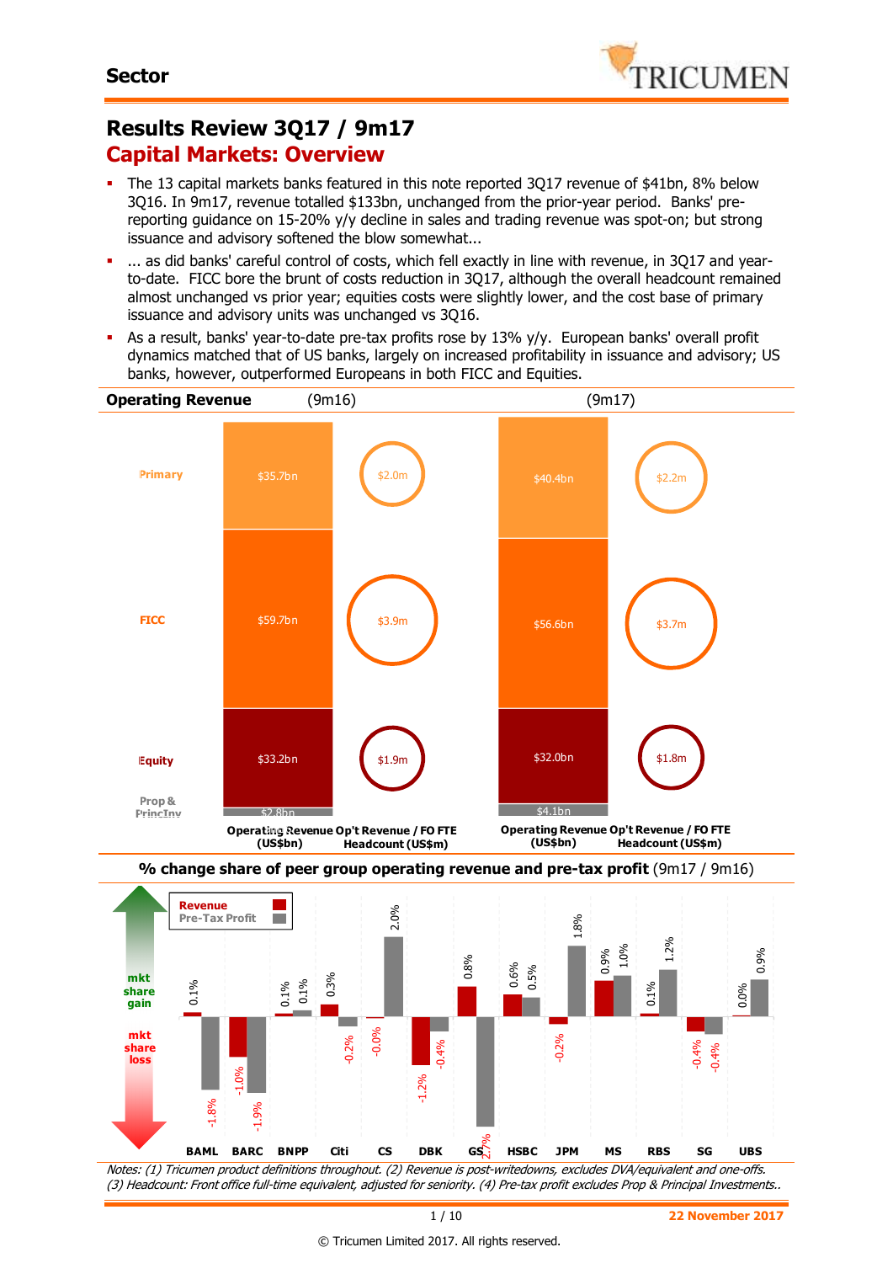# **Results Review 3Q17 / 9m17 Capital Markets: Overview**

- The 13 capital markets banks featured in this note reported 3Q17 revenue of \$41bn, 8% below 3Q16. In 9m17, revenue totalled \$133bn, unchanged from the prior-year period. Banks' prereporting guidance on 15-20% y/y decline in sales and trading revenue was spot-on; but strong issuance and advisory softened the blow somewhat...
- ... as did banks' careful control of costs, which fell exactly in line with revenue, in 3Q17 and yearto-date. FICC bore the brunt of costs reduction in 3Q17, although the overall headcount remained almost unchanged vs prior year; equities costs were slightly lower, and the cost base of primary issuance and advisory units was unchanged vs 3Q16.
- As a result, banks' year-to-date pre-tax profits rose by 13% y/y. European banks' overall profit dynamics matched that of US banks, largely on increased profitability in issuance and advisory; US banks, however, outperformed Europeans in both FICC and Equities.





Notes: (1) Tricumen product definitions throughout. (2) Revenue is post-writedowns, excludes DVA/equivalent and one-offs. (3) Headcount: Front office full-time equivalent, adjusted for seniority. (4) Pre-tax profit excludes Prop & Principal Investments..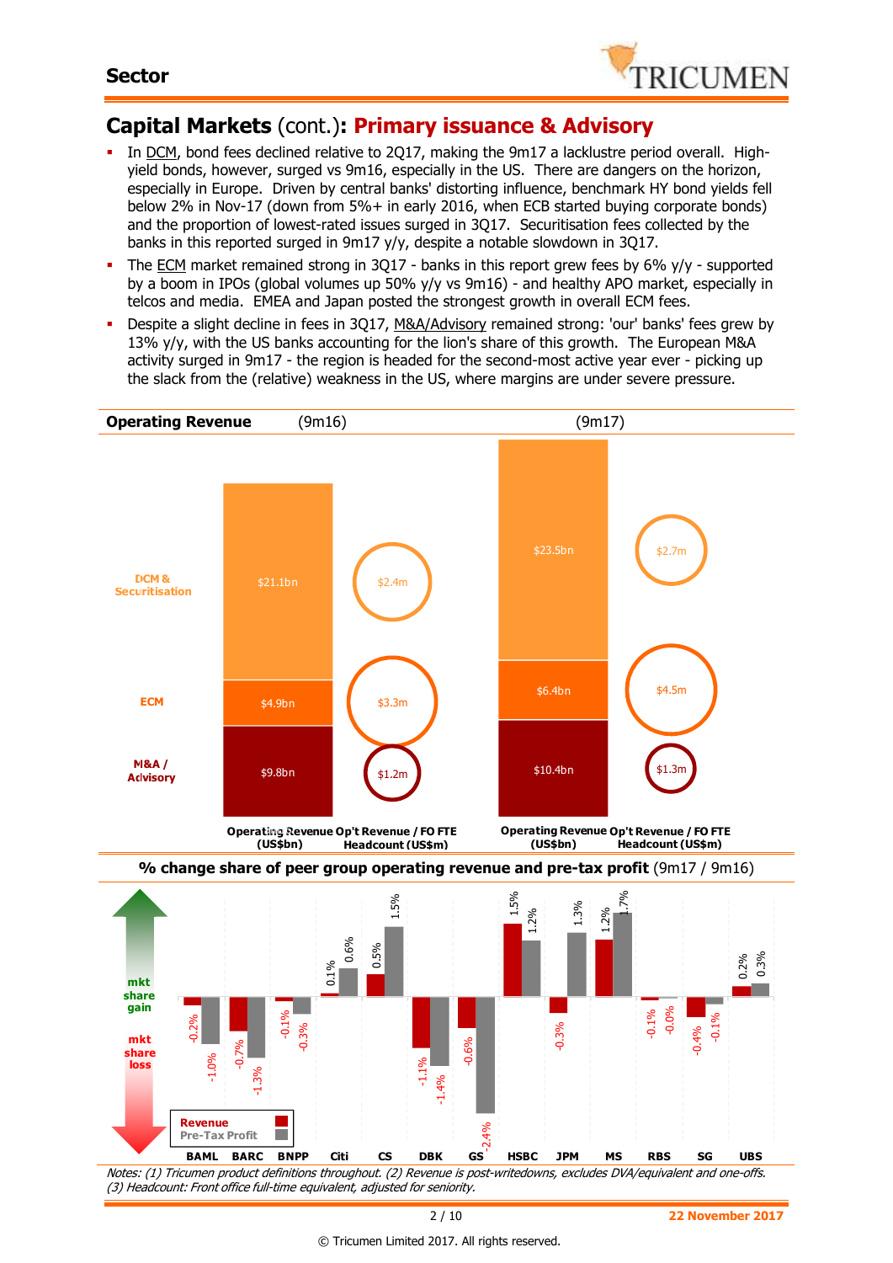

# **Capital Markets** (cont.)**: Primary issuance & Advisory**

- In DCM, bond fees declined relative to 2Q17, making the 9m17 a lacklustre period overall. Highyield bonds, however, surged vs 9m16, especially in the US. There are dangers on the horizon, especially in Europe. Driven by central banks' distorting influence, benchmark HY bond yields fell below 2% in Nov-17 (down from 5%+ in early 2016, when ECB started buying corporate bonds) and the proportion of lowest-rated issues surged in 3Q17. Securitisation fees collected by the banks in this reported surged in 9m17 y/y, despite a notable slowdown in 3Q17.
- The ECM market remained strong in 3Q17 banks in this report grew fees by 6% y/y supported by a boom in IPOs (global volumes up 50% y/y vs 9m16) - and healthy APO market, especially in telcos and media. EMEA and Japan posted the strongest growth in overall ECM fees.
- Despite a slight decline in fees in 3Q17, M&A/Advisory remained strong: 'our' banks' fees grew by 13% y/y, with the US banks accounting for the lion's share of this growth. The European M&A activity surged in 9m17 - the region is headed for the second-most active year ever - picking up the slack from the (relative) weakness in the US, where margins are under severe pressure.



© Tricumen Limited 2017. All rights reserved.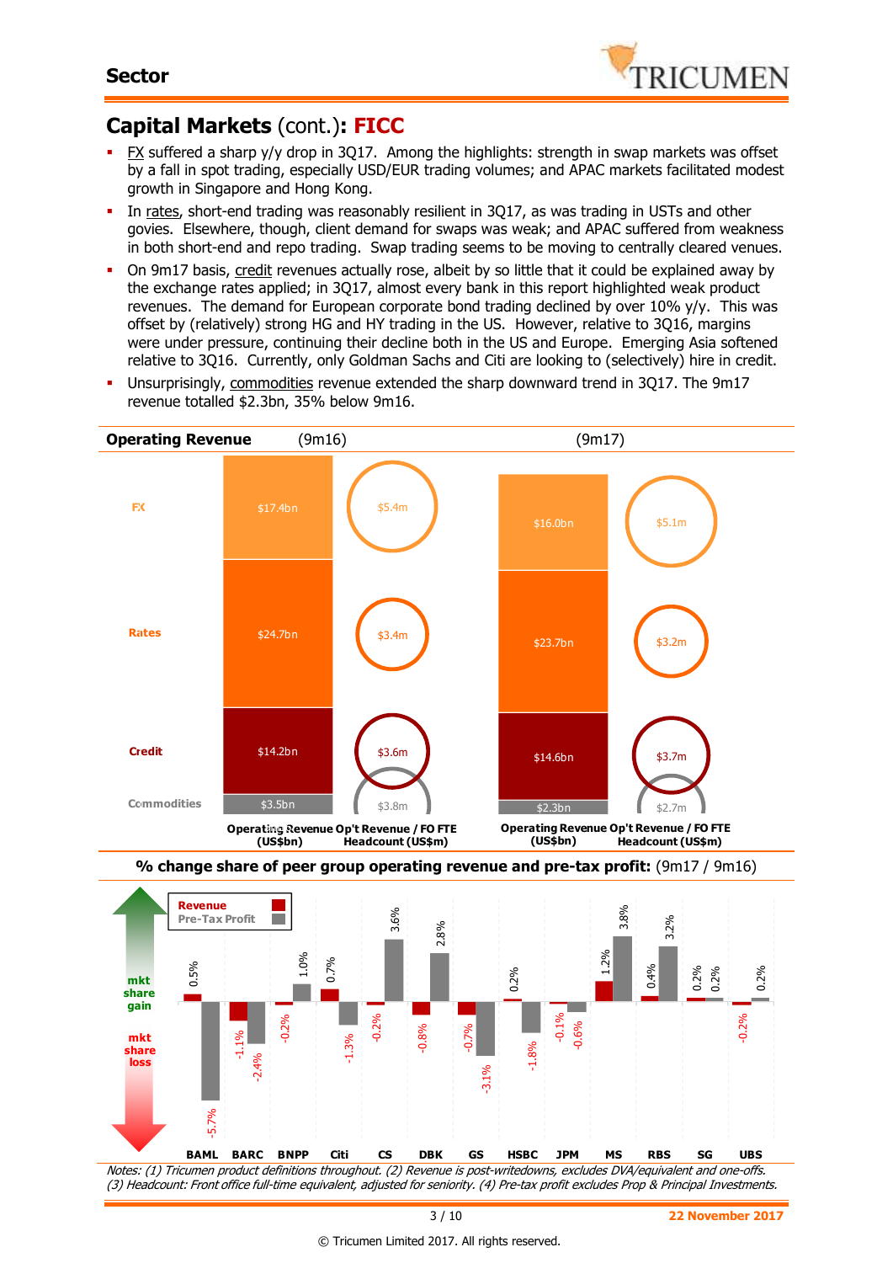

# **Capital Markets** (cont.)**: FICC**

- $EX$  suffered a sharp y/y drop in 3Q17. Among the highlights: strength in swap markets was offset by a fall in spot trading, especially USD/EUR trading volumes; and APAC markets facilitated modest growth in Singapore and Hong Kong.
- In rates, short-end trading was reasonably resilient in 3Q17, as was trading in USTs and other govies. Elsewhere, though, client demand for swaps was weak; and APAC suffered from weakness in both short-end and repo trading. Swap trading seems to be moving to centrally cleared venues.
- On 9m17 basis, credit revenues actually rose, albeit by so little that it could be explained away by the exchange rates applied; in 3Q17, almost every bank in this report highlighted weak product revenues. The demand for European corporate bond trading declined by over  $10\%$  y/y. This was offset by (relatively) strong HG and HY trading in the US. However, relative to 3Q16, margins were under pressure, continuing their decline both in the US and Europe. Emerging Asia softened relative to 3Q16. Currently, only Goldman Sachs and Citi are looking to (selectively) hire in credit.
- Unsurprisingly, commodities revenue extended the sharp downward trend in 3Q17. The 9m17 revenue totalled \$2.3bn, 35% below 9m16.



Notes: (1) Tricumen product definitions throughout. (2) Revenue is post-writedowns, excludes DVA/equivalent and one-offs. (3) Headcount: Front office full-time equivalent, adjusted for seniority. (4) Pre-tax profit excludes Prop & Principal Investments.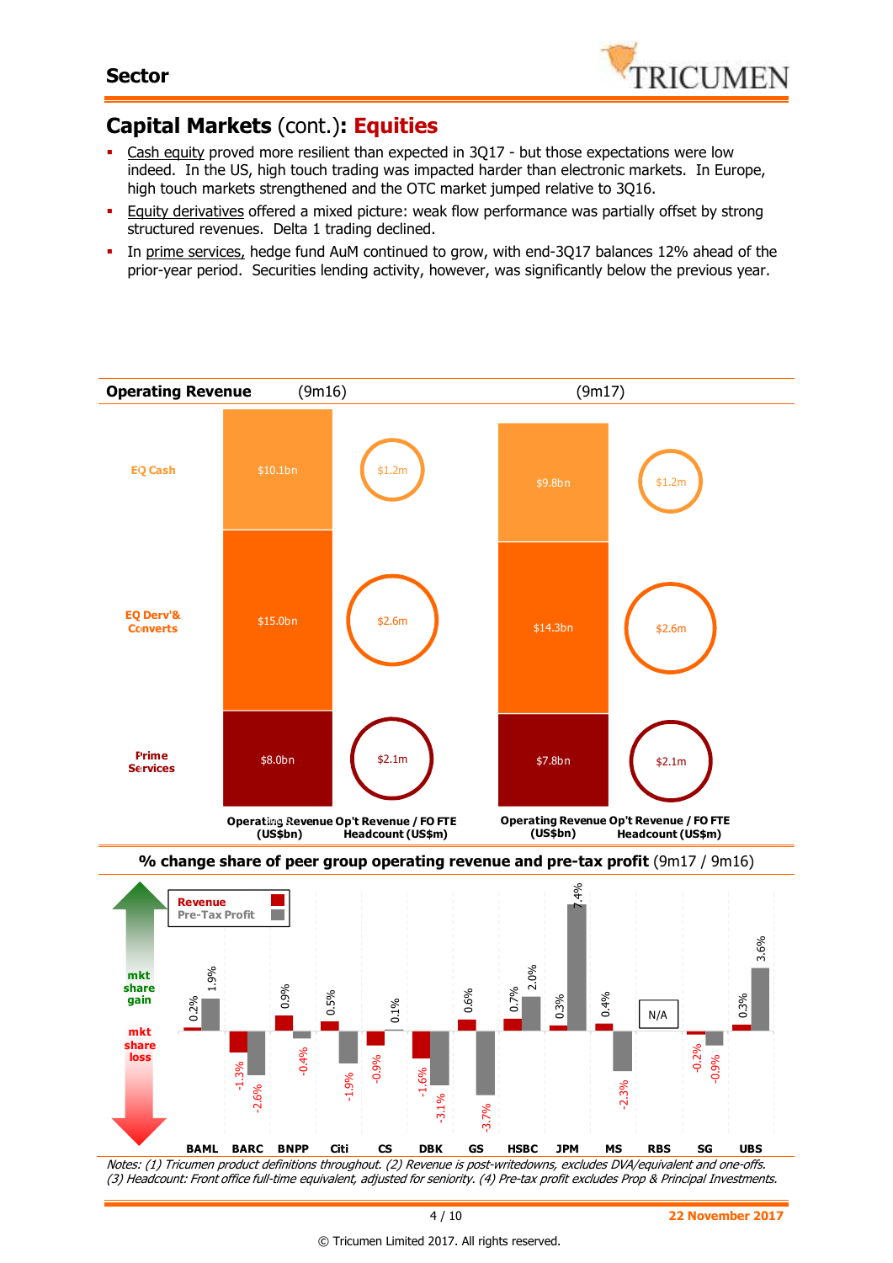

# **Capital Markets** (cont.)**: Equities**

- Cash equity proved more resilient than expected in 3Q17 but those expectations were low indeed. In the US, high touch trading was impacted harder than electronic markets. In Europe, high touch markets strengthened and the OTC market jumped relative to 3Q16.
- **Equity derivatives offered a mixed picture: weak flow performance was partially offset by strong** structured revenues. Delta 1 trading declined.
- In prime services, hedge fund AuM continued to grow, with end-3Q17 balances 12% ahead of the prior-year period. Securities lending activity, however, was significantly below the previous year.



Notes: (1) Tricumen product definitions throughout. (2) Revenue is post-writedowns, excludes DVA/equivalent and one-offs. (3) Headcount: Front office full-time equivalent, adjusted for seniority. (4) Pre-tax profit excludes Prop & Principal Investments.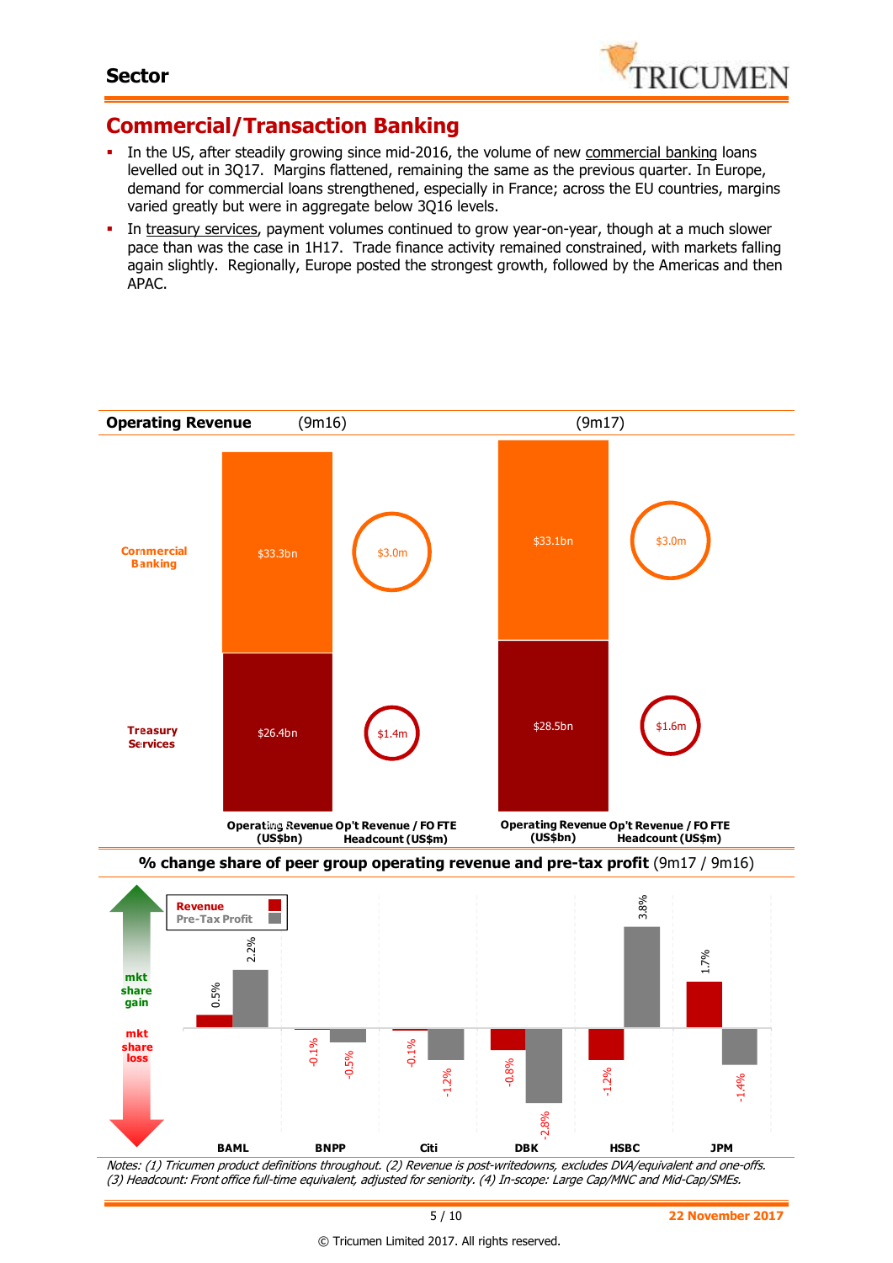

# **Commercial/Transaction Banking**

- In the US, after steadily growing since mid-2016, the volume of new commercial banking loans levelled out in 3Q17. Margins flattened, remaining the same as the previous quarter. In Europe, demand for commercial loans strengthened, especially in France; across the EU countries, margins varied greatly but were in aggregate below 3Q16 levels.
- In treasury services, payment volumes continued to grow year-on-year, though at a much slower pace than was the case in 1H17. Trade finance activity remained constrained, with markets falling again slightly. Regionally, Europe posted the strongest growth, followed by the Americas and then APAC.



(3) Headcount: Front office full-time equivalent, adjusted for seniority. (4) In-scope: Large Cap/MNC and Mid-Cap/SMEs.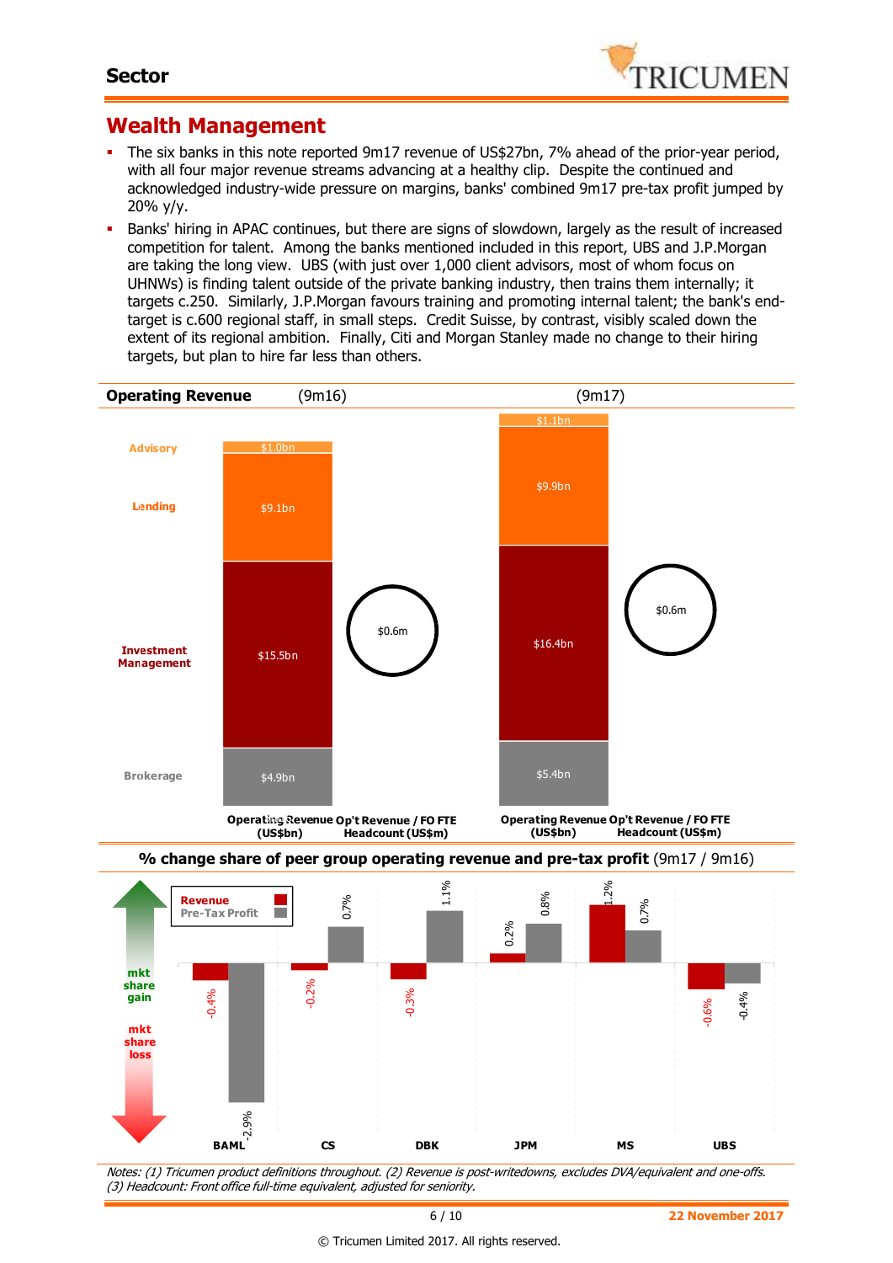

### **Wealth Management**

- The six banks in this note reported 9m17 revenue of US\$27bn, 7% ahead of the prior-year period, with all four major revenue streams advancing at a healthy clip. Despite the continued and acknowledged industry-wide pressure on margins, banks' combined 9m17 pre-tax profit jumped by 20% y/y.
- Banks' hiring in APAC continues, but there are signs of slowdown, largely as the result of increased competition for talent. Among the banks mentioned included in this report, UBS and J.P.Morgan are taking the long view. UBS (with just over 1,000 client advisors, most of whom focus on UHNWs) is finding talent outside of the private banking industry, then trains them internally; it targets c.250. Similarly, J.P.Morgan favours training and promoting internal talent; the bank's endtarget is c.600 regional staff, in small steps. Credit Suisse, by contrast, visibly scaled down the extent of its regional ambition. Finally, Citi and Morgan Stanley made no change to their hiring targets, but plan to hire far less than others.



Notes: (1) Tricumen product definitions throughout. (2) Revenue is post-writedowns, excludes DVA/equivalent and one-offs. (3) Headcount: Front office full-time equivalent, adjusted for seniority.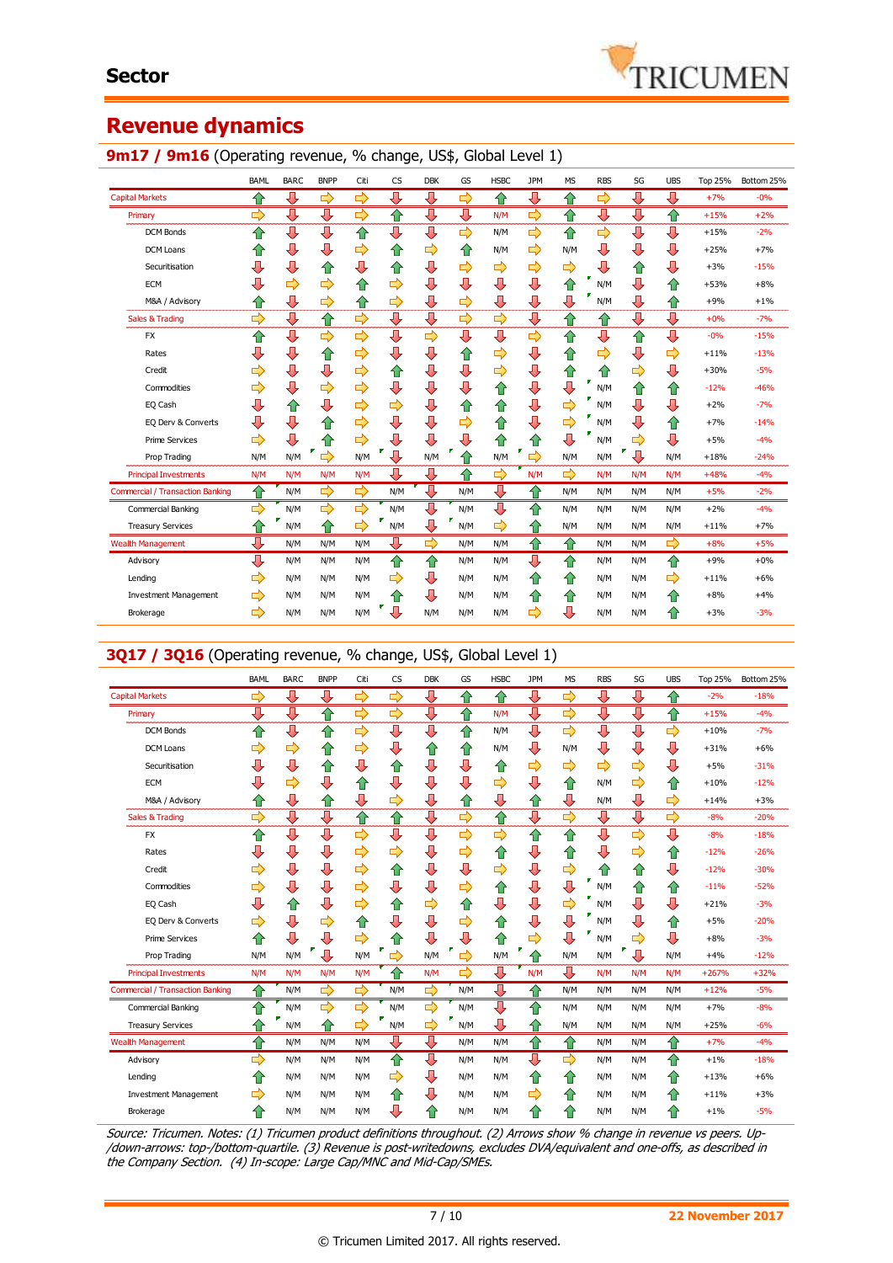

# **Revenue dynamics**

### 9m17 / 9m16 (Operating revenue, % change, US\$, Global Level 1)

|                                         | <b>BAML</b> | <b>BARC</b> | <b>BNPP</b> | Citi | <b>CS</b>     | <b>DBK</b> | GS  | <b>HSBC</b> | <b>JPM</b> | <b>MS</b> | <b>RBS</b> | SG  | <b>UBS</b> | Top 25% | Bottom 25% |
|-----------------------------------------|-------------|-------------|-------------|------|---------------|------------|-----|-------------|------------|-----------|------------|-----|------------|---------|------------|
| <b>Capital Markets</b>                  | ⇧           | ⇩           | ⇨           | ⇨    | ⊕             | ⊕          | ⇨   | ⇧           | ⊕          | ෑ         | ⇨          | ⇩   | ⊕          | $+7%$   | $-0%$      |
| Primary                                 | ⇨           | ⇩           | ⇩           | ⇨    | ✿             | ⇩          | ⇩   | N/M         | ⇨          | €         | ⇩          | ⇩   | ✿          | $+15%$  | $+2%$      |
| <b>DCM Bonds</b>                        | ⇧           | ⊕           | ⇩           | ⇧    | ⊕             | ⇩          | ⇨   | N/M         | ⇨          | ⇧         | ⇨          | ⇩   | ⇩          | $+15%$  | $-2%$      |
| <b>DCM Loans</b>                        | 仆           | ⇩           | ⇩           | ⇨    | ⇑             | ⇨          | ⇑   | N/M         | ⇨          | N/M       | ⇩          | ⇩   | ⇩          | $+25%$  | $+7%$      |
| Securitisation                          | ⇩           | ⇩           | ⇧           | ⇩    | ⇧             | ⇩          | ⇨   | ⇨           | ⇨          | ⇨         | ⇩          | ⇧   | ⇩          | $+3%$   | $-15%$     |
| <b>ECM</b>                              | ⇩           | ⇨           | ⇨           | ⇧    | ⇨             | ⇩          | ⇩   | ⇩           | ⇩          | ⇧         | N/M        | ⇩   | ⇧          | $+53%$  | $+8%$      |
| M&A / Advisory                          | ⇧           | ⇩           | ⇨           | ⇧    | ⇨             | ⇩          | ⇨   | ⇩           | ⇩          | ⇩         | N/M        | ⇩   | ⇧          | $+9%$   | $+1%$      |
| Sales & Trading                         | ⇨           | ⇩           | ⇧           | ⇨    | ⇩             | ⇩          | ⇨   | ⇨           | ⇩          | ⇧         | ⇧          | ⇩   | ⇩          | $+0%$   | $-7%$      |
| <b>FX</b>                               | ⇑           | ⇩           | ⇨           | ⇨    | ⊕             | ⇨          | ⇩   | ⇩           | ⇨          | ⇧         | ⇩          | ⇑   | ⊕          | $-0%$   | $-15%$     |
| Rates                                   | ⇩           | ⇩           | ⇧           | ⇨    | ⇩             | ⇩          | ⇧   | ⇨           | ⇩          | ⇧         | ⇨          | ⇩   | ⇨          | $+11%$  | $-13%$     |
| Credit                                  | ⇨           | ⇩           | ⇩           | ⇨    | 슙             | ⇩          | ⇩   | ⇨           | ⇩          | ⇧         | ⇧          | ⇨   | ⇩          | $+30%$  | $-5%$      |
| Commodities                             | ⇨           | ⇩           | ⇨           | ⇨    | ⇩             | ⇩          | ⇩   | ⇧           | ⇩          | ⇩         | N/M        | ⇑   | ⇧          | $-12%$  | $-46%$     |
| EQ Cash                                 | ⇩           | ⇑           | ⇩           | ⇨    | ⇨             | ⇩          | ⇧   | ⇧           | ⇩          | ⇨         | N/M        | ⇩   | ⇩          | $+2%$   | $-7%$      |
| EQ Derv & Converts                      | ⇩           | ⇩           | ⇧           | ⇨    | ⇩             | ⇩          | ⇨   | ⇑           | ⇩          | ⇨         | N/M        | ⇩   | ⇮          | $+7%$   | $-14%$     |
| <b>Prime Services</b>                   | ⇨           | ⇩           | ⇧           | ⇨    | ⇩             | ⊕          | ⇩   | ⇑           | ⇧          | ⇩         | N/M        | ⇨   | ⊕          | $+5%$   | $-4%$      |
| Prop Trading                            | N/M         | N/M         | ⇨           | N/M  | п<br>л        | N/M        | ⇑   | N/M         | ⇨          | N/M       | N/M        | ⇩   | N/M        | $+18%$  | $-24%$     |
| <b>Principal Investments</b>            | N/M         | N/M         | N/M         | N/M  | Л             | ⇩          | ⇧   | ⇨           | N/M        | ⇨         | N/M        | N/M | N/M        | $+48%$  | $-4%$      |
| <b>Commercial / Transaction Banking</b> | 仐           | N/M         | ⇨           | ⇨    | N/M           | ⇩          | N/M | ⊕           | ✿          | N/M       | N/M        | N/M | N/M        | $+5%$   | $-2%$      |
| Commercial Banking                      | ⇨           | N/M         | 母           | ⇨    | N/M           | ⇩          | N/M | ⇩           | ⇑          | N/M       | N/M        | N/M | N/M        | $+2%$   | $-4%$      |
| <b>Treasury Services</b>                | ⇧           | N/M         | ⇧           | ⇨    | N/M           | ⊕          | N/M | ⇨           | ⇧          | N/M       | N/M        | N/M | N/M        | $+11%$  | $+7%$      |
| <b>Wealth Management</b>                | ⊕           | N/M         | N/M         | N/M  | л             | ⇨          | N/M | N/M         | €          | ⇧         | N/M        | N/M | ⇨          | $+8%$   | $+5%$      |
| Advisory                                | ⊕           | N/M         | N/M         | N/M  | 仐             | ⇧          | N/M | N/M         | ⊕          | ⇧         | N/M        | N/M | 企          | $+9%$   | $+0%$      |
| Lending                                 | ⇨           | N/M         | N/M         | N/M  | $\Rightarrow$ | ⊕          | N/M | N/M         | €          | ⇧         | N/M        | N/M | ⇨          | $+11%$  | $+6%$      |
| <b>Investment Management</b>            | ⇨           | N/M         | N/M         | N/M  |               | ⊕          | N/M | N/M         | ⇧          | ⇧         | N/M        | N/M | ✿          | $+8%$   | $+4%$      |
| Brokerage                               | ⇨           | N/M         | N/M         | N/M  | J             | N/M        | N/M | N/M         | ⇨          | ⇩         | N/M        | N/M | ⇮          | $+3%$   | $-3%$      |

#### **3Q17 / 3Q16** (Operating revenue, % change, US\$, Global Level 1)

|                                         | <b>BAML</b>   | <b>BARC</b> | <b>BNPP</b> | Citi          | <b>CS</b>     | <b>DBK</b>    | GS  | <b>HSBC</b>   | <b>JPM</b> | <b>MS</b>     | <b>RBS</b> | SG            | <b>UBS</b>    | Top 25% | Bottom 25% |
|-----------------------------------------|---------------|-------------|-------------|---------------|---------------|---------------|-----|---------------|------------|---------------|------------|---------------|---------------|---------|------------|
| <b>Capital Markets</b>                  | $\Rightarrow$ | ⊕           | ⊕           | $\Rightarrow$ | $\Rightarrow$ | ⊕             | ⇧   | ⇑             | ⇩          | $\Rightarrow$ | ⊕          | ⇩             | 合             | $-2%$   | $-18%$     |
| Primary                                 | ⇩             | ⇩           | ⇧           | ₿             | ⇨             | ⇩             | ⇧   | N/M           | ⊕          | $\Rightarrow$ | ⇩          | ⇩             | ⇧             | $+15%$  | $-4%$      |
| <b>DCM Bonds</b>                        | ⇑             | ⇩           | ⇧           | ⇨             | ⇩             | ⇩             | ⇑   | N/M           | ⇩          | ⇨             | ⊕          | ⇩             | $\Rightarrow$ | $+10%$  | $-7%$      |
| <b>DCM Loans</b>                        | ⇨             | ⇨           | ⇧           | ⇨             | ⇩             | ⇧             | ⇧   | N/M           | ⊕          | N/M           | ⇩          | ⇩             | ⇩             | $+31%$  | $+6%$      |
| Securitisation                          | ⇩             | ⇩           | ⇧           | ⇩             | ⇧             | ⇩             | ⊕   | ⇧             | ⇨          | ⇨             | ⇨          | $\Rightarrow$ | ⊕             | $+5%$   | $-31%$     |
| <b>ECM</b>                              | ⇩             | ⇨           | ⇩           | 合             | ⇩             | ⇩             | ⇩   | ⇨             | ⇩          | ⇧             | N/M        | ⇨             | 合             | $+10%$  | $-12%$     |
| M&A / Advisory                          | ⇧             | ⇩           | ⇧           | ⇩             | ⇨             | ⇩             | ⇑   | ⇩             | ⇧          | ⇩             | N/M        | ⇩             | ⇨             | $+14%$  | $+3%$      |
| Sales & Trading                         | ⇨             | ⇩           | ⇩           | ⇧             | ⇧             | ⇩             | ⇨   | ⇧             | ⊕          | ⇨             | ⊕          | ⇩             | ⇨             | $-8%$   | $-20%$     |
| <b>FX</b>                               | ⇧             | ⇩           | ⇩           | ⇨             | ⇩             | ⇩             | ⇨   | ⇨             | ⇧          | ⇧             | ⇩          | ⇨             | ⊕             | $-8%$   | $-18%$     |
| Rates                                   | ⇩             | ⇩           | ⇩           | $\Rightarrow$ | ⇨             | ⇩             | ⇨   | ⇧             | ⇩          | ⇧             | ⇩          | $\Rightarrow$ | 合             | $-12%$  | $-26%$     |
| Credit                                  | ⇨             | ⇩           | ⇩           | $\Rightarrow$ | ⇧             | ⇩             | ⇩   | $\Rightarrow$ | ⇩          | ⇨             | ⇧          | ⇧             | ⊕             | $-12%$  | $-30%$     |
| Commodities                             | ⇨             | ⇩           | ⇩           | $\Rightarrow$ | ⇩             | ⇩             | ⇨   | ⇧             | ⇩          | ⇩             | N/M        | ⇧             | ⇧             | $-11%$  | $-52%$     |
| EQ Cash                                 | ⇩             | ⇑           | ⇩           | $\Rightarrow$ | ⇧             | ⇨             | ⇑   | J             | ⇩          | $\Rightarrow$ | N/M        | ⇩             | ⊕             | $+21%$  | $-3%$      |
| EQ Derv & Converts                      | ⇨             | ⇩           | ⇨           | 合             | U             | ⇩             | ⇨   | ⇑             | ⇩          | ⇩             | N/M        | ⇩             | ⇧             | $+5%$   | $-20%$     |
| <b>Prime Services</b>                   | ⇑             | ⇩           | ⇩           | ⇨             | ⇑             | ⊕             | J   | ⇧             | ⇨          | ⊕             | N/M        | ⇨             | ⊕             | $+8%$   | $-3%$      |
| Prop Trading                            | N/M           | N/M         | ⇩           | N/M           | ⇨             | N/M           | ⇨   | N/M           | ⇑          | N/M           | N/M        | ⇩             | N/M           | $+4%$   | $-12%$     |
| <b>Principal Investments</b>            | N/M           | N/M         | N/M         | N/M           | 合             | N/M           | ⇨   | л             | N/M        | ⊕             | N/M        | N/M           | N/M           | $+267%$ | $+32%$     |
| <b>Commercial / Transaction Banking</b> | ⇑             | N/M         | 母           | $\Rightarrow$ | N/M           | ⇨             | N/M | ⇩             | ⇑          | N/M           | N/M        | N/M           | N/M           | $+12%$  | $-5%$      |
| Commercial Banking                      | ⇑             | N/M         | ⇨           | ⇨             | N/M           | ⇨             | N/M | ⇩             | ⇑          | N/M           | N/M        | N/M           | N/M           | $+7%$   | $-8%$      |
| <b>Treasury Services</b>                | ⇧             | N/M         | ⇑           | $\Rightarrow$ | N/M           | $\Rightarrow$ | N/M | ⊕             | ⇑          | N/M           | N/M        | N/M           | N/M           | $+25%$  | $-6%$      |
| <b>Wealth Management</b>                | ⇮             | N/M         | N/M         | N/M           | ⊕             | ┺             | N/M | N/M           | ⇑          | ✿             | N/M        | N/M           | ⇧             | $+7%$   | $-4%$      |
| Advisory                                | ⇨             | N/M         | N/M         | N/M           | 仐             | ⇩             | N/M | N/M           | ⊕          | ⇨             | N/M        | N/M           | 合             | $+1%$   | $-18%$     |
| Lending                                 | ⇑             | N/M         | N/M         | N/M           | ⇨             | ⊕             | N/M | N/M           | ⇑          | ⇑             | N/M        | N/M           | ⇧             | $+13%$  | $+6%$      |
| <b>Investment Management</b>            | ⇨             | N/M         | N/M         | N/M           | ⇧             | ⇩             | N/M | N/M           | ⇨          | ⇑             | N/M        | N/M           | ⇧             | $+11%$  | $+3%$      |
| Brokerage                               | ⇑             | N/M         | N/M         | N/M           | ⇩             | ✿             | N/M | N/M           | ⇑          | ⇑             | N/M        | N/M           | ✿             | $+1%$   | $-5%$      |

Source: Tricumen. Notes: (1) Tricumen product definitions throughout. (2) Arrows show % change in revenue vs peers. Up- /down-arrows: top-/bottom-quartile. (3) Revenue is post-writedowns, excludes DVA/equivalent and one-offs, as described in the Company Section. (4) In-scope: Large Cap/MNC and Mid-Cap/SMEs.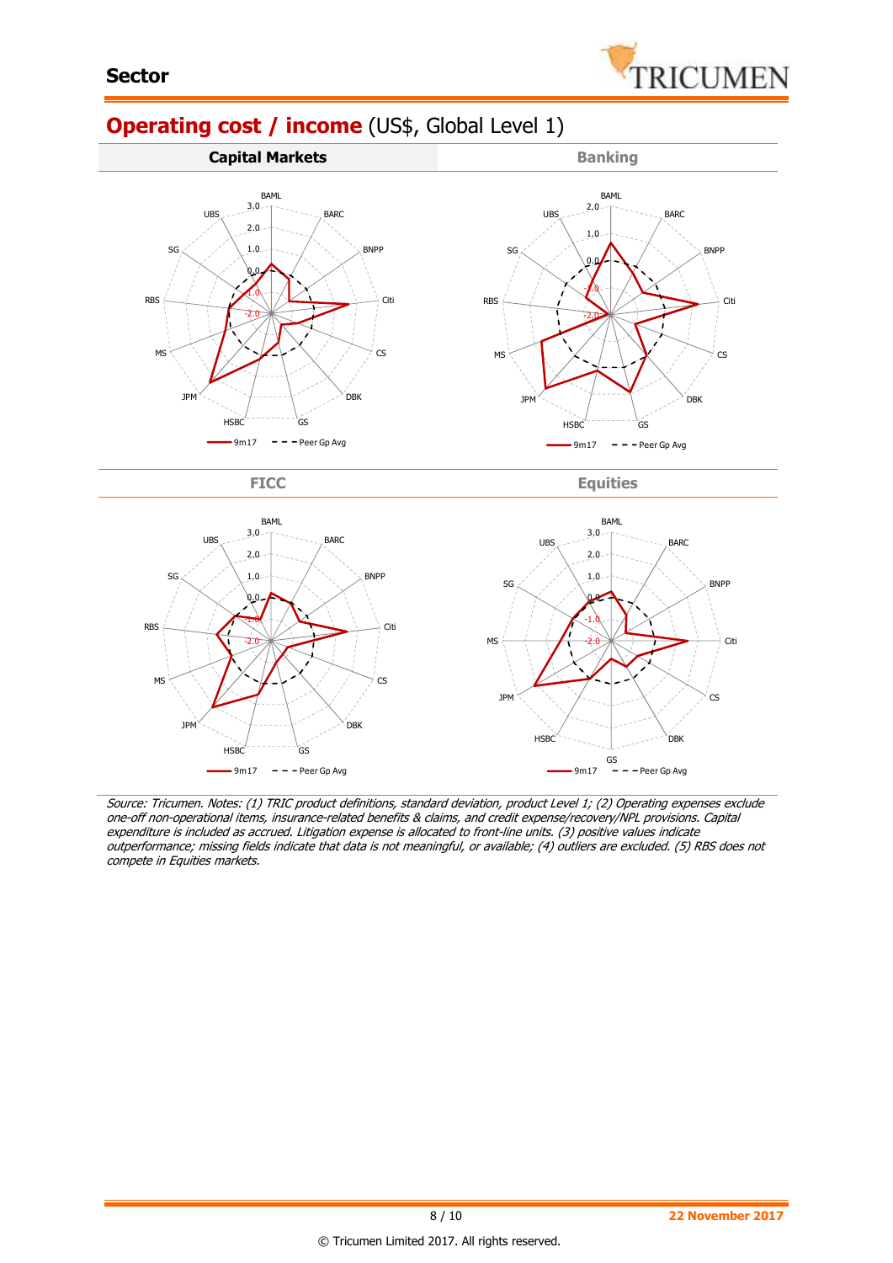

# **Operating cost / income** (US\$, Global Level 1)



FICC Equities



Source: Tricumen. Notes: (1) TRIC product definitions, standard deviation, product Level 1; (2) Operating expenses exclude one-off non-operational items, insurance-related benefits & claims, and credit expense/recovery/NPL provisions. Capital expenditure is included as accrued. Litigation expense is allocated to front-line units. (3) positive values indicate outperformance; missing fields indicate that data is not meaningful, or available; (4) outliers are excluded. (5) RBS does not compete in Equities markets.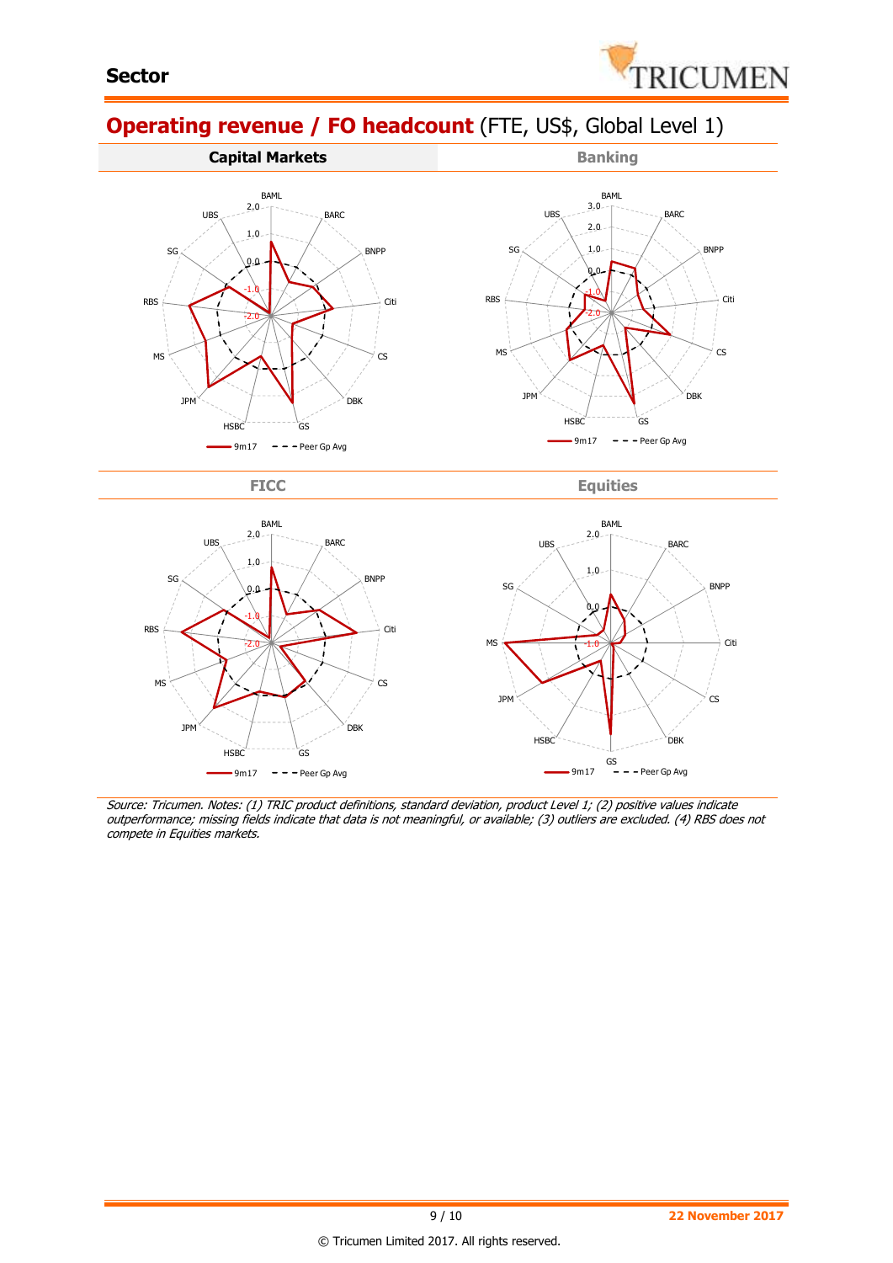

# **Operating revenue / FO headcount** (FTE, US\$, Global Level 1)



FICC Equities



Source: Tricumen. Notes: (1) TRIC product definitions, standard deviation, product Level 1; (2) positive values indicate outperformance; missing fields indicate that data is not meaningful, or available; (3) outliers are excluded. (4) RBS does not compete in Equities markets.